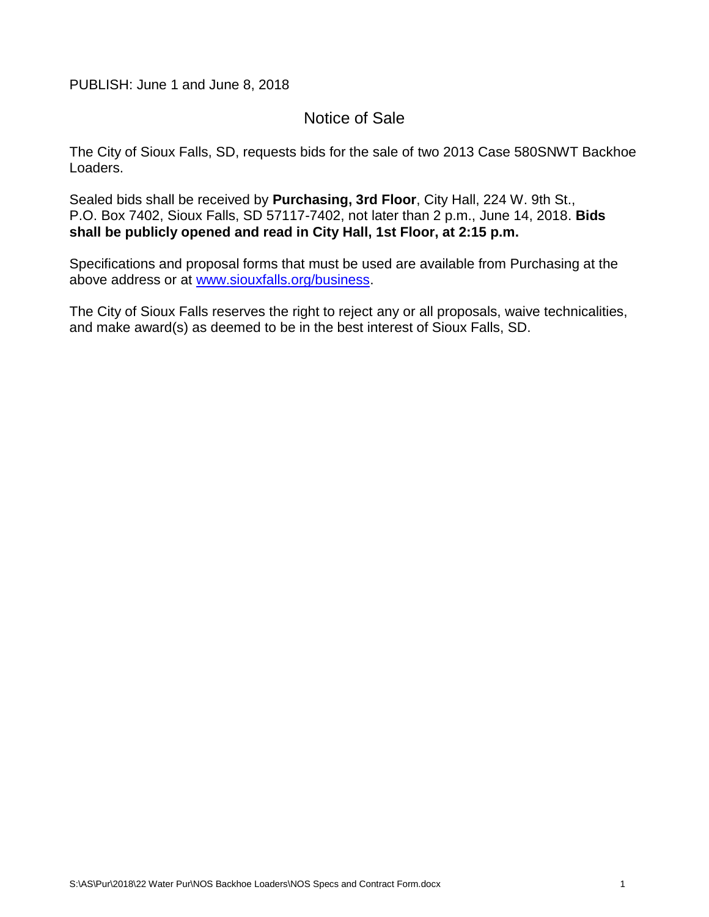PUBLISH: June 1 and June 8, 2018

# Notice of Sale

The City of Sioux Falls, SD, requests bids for the sale of two 2013 Case 580SNWT Backhoe Loaders.

Sealed bids shall be received by **Purchasing, 3rd Floor**, City Hall, 224 W. 9th St., P.O. Box 7402, Sioux Falls, SD 57117-7402, not later than 2 p.m., June 14, 2018. **Bids shall be publicly opened and read in City Hall, 1st Floor, at 2:15 p.m.**

Specifications and proposal forms that must be used are available from Purchasing at the above address or at [www.siouxfalls.org/business.](http://www.siouxfalls.org/business)

The City of Sioux Falls reserves the right to reject any or all proposals, waive technicalities, and make award(s) as deemed to be in the best interest of Sioux Falls, SD.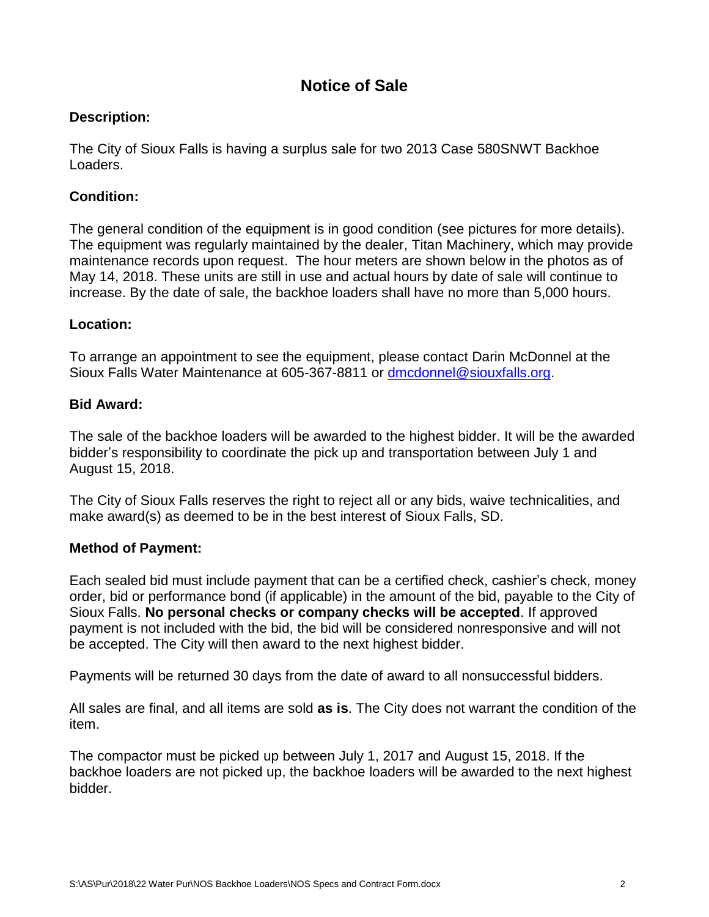# **Notice of Sale**

# **Description:**

The City of Sioux Falls is having a surplus sale for two 2013 Case 580SNWT Backhoe Loaders.

## **Condition:**

The general condition of the equipment is in good condition (see pictures for more details). The equipment was regularly maintained by the dealer, Titan Machinery, which may provide maintenance records upon request. The hour meters are shown below in the photos as of May 14, 2018. These units are still in use and actual hours by date of sale will continue to increase. By the date of sale, the backhoe loaders shall have no more than 5,000 hours.

#### **Location:**

To arrange an appointment to see the equipment, please contact Darin McDonnel at the Sioux Falls Water Maintenance at 605-367-8811 or [dmcdonnel@siouxfalls.org.](mailto:dmcdonnel@siouxfalls.org)

#### **Bid Award:**

The sale of the backhoe loaders will be awarded to the highest bidder. It will be the awarded bidder's responsibility to coordinate the pick up and transportation between July 1 and August 15, 2018.

The City of Sioux Falls reserves the right to reject all or any bids, waive technicalities, and make award(s) as deemed to be in the best interest of Sioux Falls, SD.

#### **Method of Payment:**

Each sealed bid must include payment that can be a certified check, cashier's check, money order, bid or performance bond (if applicable) in the amount of the bid, payable to the City of Sioux Falls. **No personal checks or company checks will be accepted**. If approved payment is not included with the bid, the bid will be considered nonresponsive and will not be accepted. The City will then award to the next highest bidder.

Payments will be returned 30 days from the date of award to all nonsuccessful bidders.

All sales are final, and all items are sold **as is**. The City does not warrant the condition of the item.

The compactor must be picked up between July 1, 2017 and August 15, 2018. If the backhoe loaders are not picked up, the backhoe loaders will be awarded to the next highest bidder.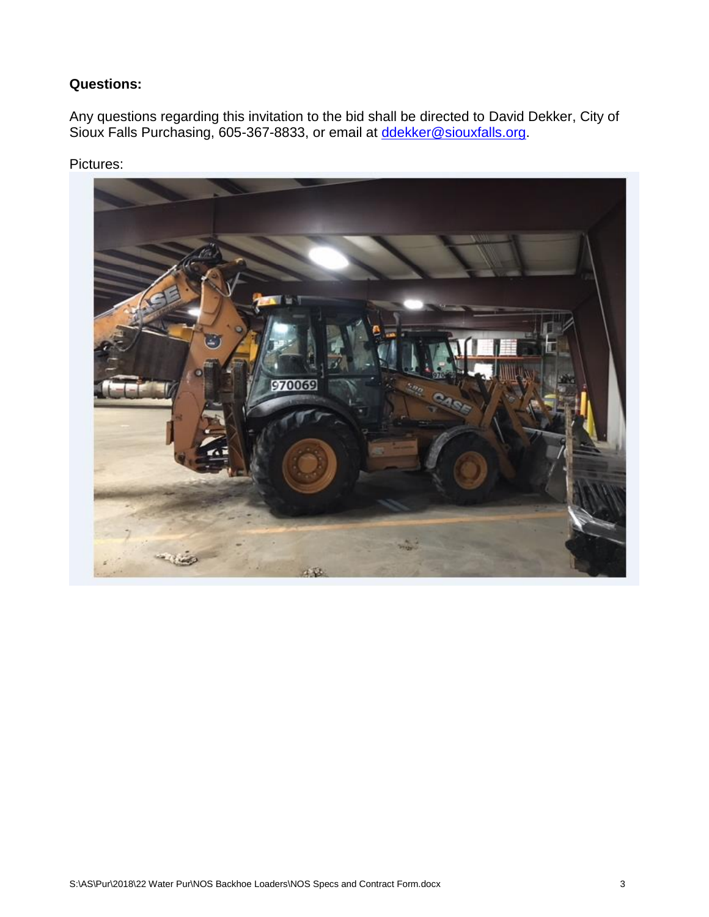# **Questions:**

Any questions regarding this invitation to the bid shall be directed to David Dekker, City of Sioux Falls Purchasing, 605-367-8833, or email at [ddekker@siouxfalls.org.](mailto:ddekker@siouxfalls.org)

Pictures:

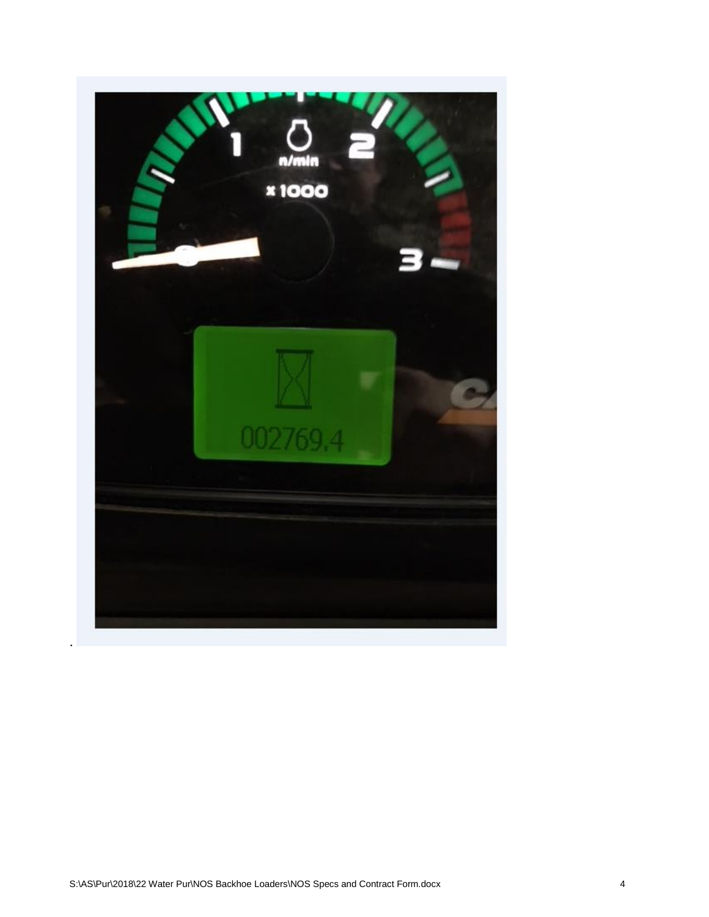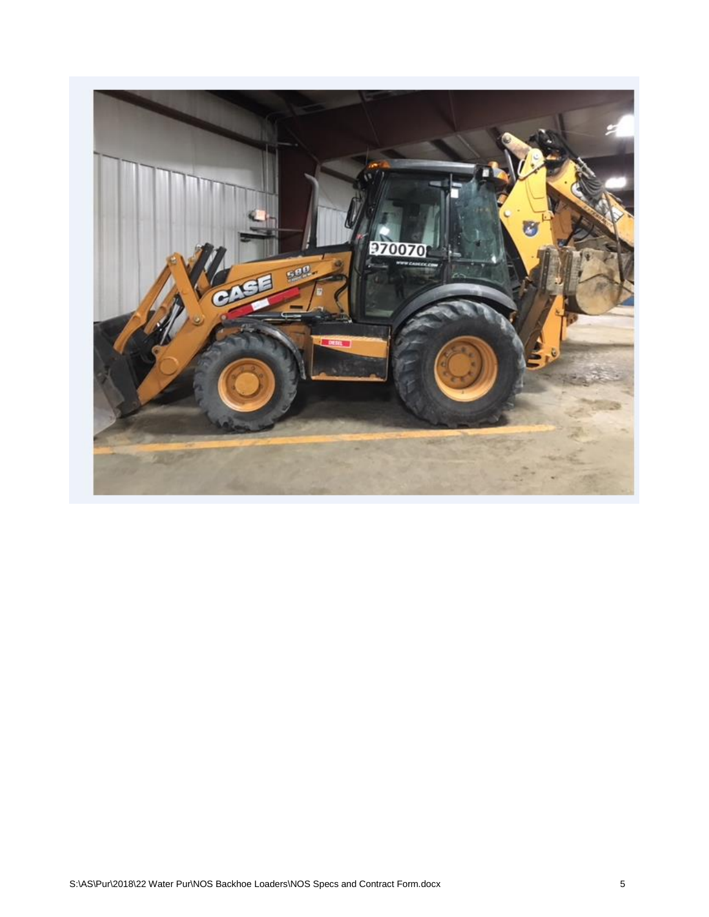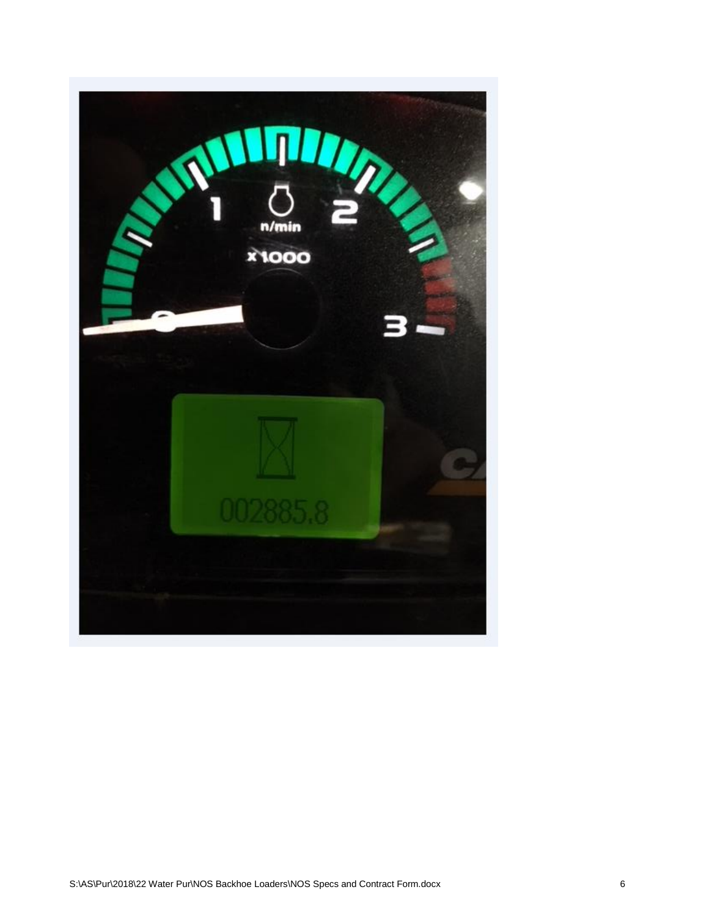